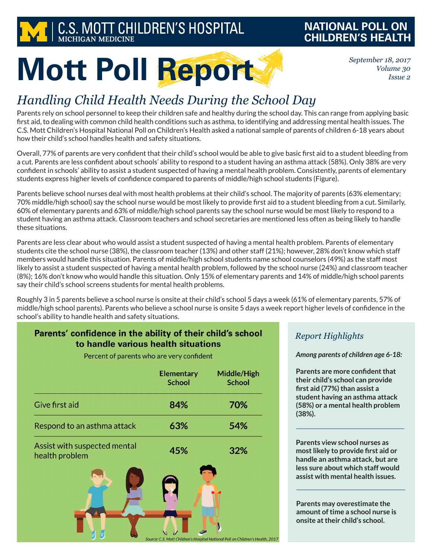

## **NATIONAL POLL ON CHILDREN'S HEALTH**

*September 18, 2017 Volume 30 Issue 2*

# **Mott Poll Report**

# *Handling Child Health Needs During the School Day*

Parents rely on school personnel to keep their children safe and healthy during the school day. This can range from applying basic first aid, to dealing with common child health conditions such as asthma, to identifying and addressing mental health issues. The C.S. Mott Children's Hospital National Poll on Children's Health asked a national sample of parents of children 6-18 years about how their child's school handles health and safety situations.

Overall, 77% of parents are very confident that their child's school would be able to give basic first aid to a student bleeding from a cut. Parents are less confident about schools' ability to respond to a student having an asthma attack (58%). Only 38% are very confident in schools' ability to assist a student suspected of having a mental health problem. Consistently, parents of elementary students express higher levels of confidence compared to parents of middle/high school students (Figure).

Parents believe school nurses deal with most health problems at their child's school. The majority of parents (63% elementary; 70% middle/high school) say the school nurse would be most likely to provide first aid to a student bleeding from a cut. Similarly, 60% of elementary parents and 63% of middle/high school parents say the school nurse would be most likely to respond to a student having an asthma attack. Classroom teachers and school secretaries are mentioned less often as being likely to handle these situations.

Parents are less clear about who would assist a student suspected of having a mental health problem. Parents of elementary students cite the school nurse (38%), the classroom teacher (13%) and other staff (21%); however, 28% don't know which staff members would handle this situation. Parents of middle/high school students name school counselors (49%) as the staff most likely to assist a student suspected of having a mental health problem, followed by the school nurse (24%) and classroom teacher (8%); 16% don't know who would handle this situation. Only 15% of elementary parents and 14% of middle/high school parents say their child's school screens students for mental health problems.

Roughly 3 in 5 parents believe a school nurse is onsite at their child's school 5 days a week (61% of elementary parents, 57% of middle/high school parents). Parents who believe a school nurse is onsite 5 days a week report higher levels of confidence in the school's ability to handle health and safety situations.

Source: C.S. Mott Children's Hospital National Poll on Children's Health, 2017

### Parents' confidence in the ability of their child's school to handle various health situations

Percent of parents who are very confident

|                                                | <b>Elementary</b><br><b>School</b> | Middle/High<br><b>School</b> |
|------------------------------------------------|------------------------------------|------------------------------|
| Give first aid                                 | 84%                                | 70%                          |
| Respond to an asthma attack                    | 63%                                | 54%                          |
| Assist with suspected mental<br>health problem | 45%                                | 32%                          |
|                                                |                                    |                              |

#### *Report Highlights*

#### *Among parents of children age 6-18:*

**Parents are more confident that their child's school can provide first aid (77%) than assist a student having an asthma attack (58%) or a mental health problem (38%).**

**Parents view school nurses as most likely to provide first aid or handle an asthma attack, but are less sure about which staff would assist with mental health issues.**

**Parents may overestimate the amount of time a school nurse is onsite at their child's school.**